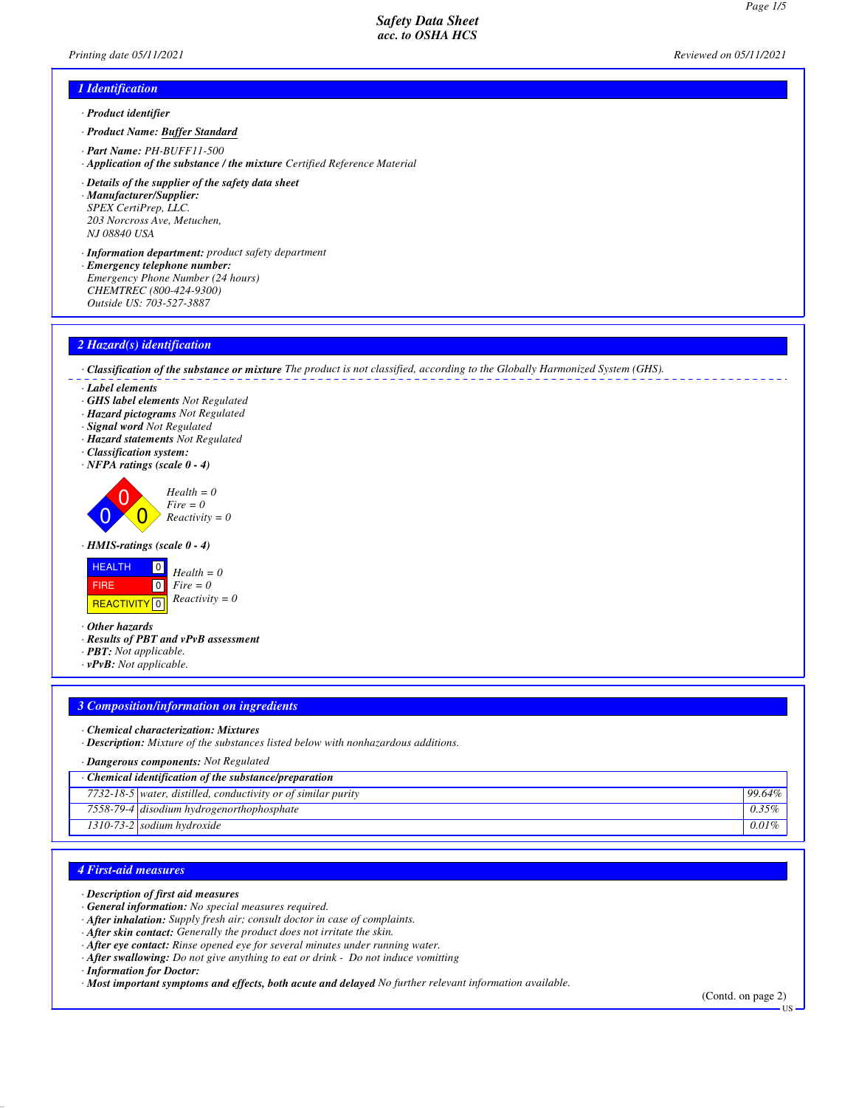# *1 Identification*

- *· Product identifier*
- *· Product Name: Buffer Standard*
- *· Part Name: PH-BUFF11-500*
- *· Application of the substance / the mixture Certified Reference Material*
- *· Details of the supplier of the safety data sheet · Manufacturer/Supplier: SPEX CertiPrep, LLC. 203 Norcross Ave, Metuchen, NJ 08840 USA*
- *· Information department: product safety department*
- *· Emergency telephone number:*
- *Emergency Phone Number (24 hours)*
- *CHEMTREC (800-424-9300)*
- *Outside US: 703-527-3887*

## *2 Hazard(s) identification*

*· Classification of the substance or mixture The product is not classified, according to the Globally Harmonized System (GHS).*

- *· Label elements*
- *· GHS label elements Not Regulated*
- *· Hazard pictograms Not Regulated*
- *· Signal word Not Regulated*
- *· Hazard statements Not Regulated*
- *· Classification system:*
- *· NFPA ratings (scale 0 4)*



*· HMIS-ratings (scale 0 - 4)*



*· Other hazards*

- *· Results of PBT and vPvB assessment*
- *· PBT: Not applicable.*
- *· vPvB: Not applicable.*

## *3 Composition/information on ingredients*

- *· Chemical characterization: Mixtures*
- *· Description: Mixture of the substances listed below with nonhazardous additions.*

| · <b>Dangerous components:</b> Not Regulated                 |                                                               |           |  |  |
|--------------------------------------------------------------|---------------------------------------------------------------|-----------|--|--|
| $\cdot$ Chemical identification of the substance/preparation |                                                               |           |  |  |
|                                                              | 7732-18-5 water, distilled, conductivity or of similar purity | $99.64\%$ |  |  |
|                                                              | 7558-79-4 disodium hydrogenorthophosphate                     | $0.35\%$  |  |  |
|                                                              | $1310-73-2$ sodium hydroxide                                  | $0.01\%$  |  |  |
|                                                              |                                                               |           |  |  |

## *4 First-aid measures*

- *· Description of first aid measures*
- *· General information: No special measures required.*
- *· After inhalation: Supply fresh air; consult doctor in case of complaints.*
- *· After skin contact: Generally the product does not irritate the skin.*
- *· After eye contact: Rinse opened eye for several minutes under running water.*
- *· After swallowing: Do not give anything to eat or drink Do not induce vomitting*

*· Information for Doctor:*

*· Most important symptoms and effects, both acute and delayed No further relevant information available.*

(Contd. on page 2)

US

*Printing date 05/11/2021 Reviewed on 05/11/2021*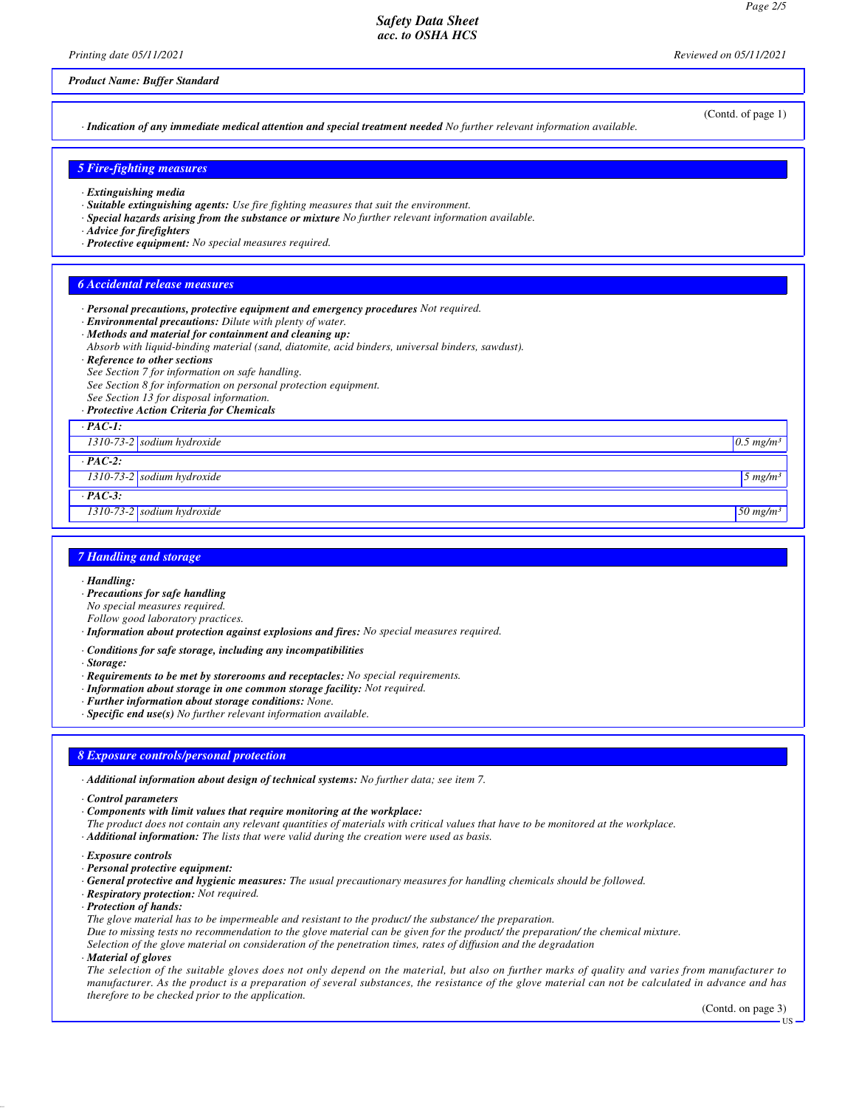*Printing date 05/11/2021 Reviewed on 05/11/2021*

## *Product Name: Buffer Standard*

*· Indication of any immediate medical attention and special treatment needed No further relevant information available.*

## *5 Fire-fighting measures*

- *· Extinguishing media*
- *· Suitable extinguishing agents: Use fire fighting measures that suit the environment.*
- *· Special hazards arising from the substance or mixture No further relevant information available.*
- *· Advice for firefighters*
- *· Protective equipment: No special measures required.*

#### *6 Accidental release measures*

- *· Personal precautions, protective equipment and emergency procedures Not required.*
- *· Environmental precautions: Dilute with plenty of water.*
- *· Methods and material for containment and cleaning up:*
- *Absorb with liquid-binding material (sand, diatomite, acid binders, universal binders, sawdust).*
- *· Reference to other sections*
- *See Section 7 for information on safe handling.*
- *See Section 8 for information on personal protection equipment.*
- *See Section 13 for disposal information.*
- *· Protective Action Criteria for Chemicals*

## *· PAC-1:*

*1310-73-2 sodium hydroxide 0.5 mg/m³*

*· PAC-2:*

*1310-73-2 sodium hydroxide 5 mg/m³*

- *· PAC-3:*
- *1310-73-2 sodium hydroxide 50 mg/m³*

## *7 Handling and storage*

- *· Handling:*
- *· Precautions for safe handling*
- *No special measures required.*
- *Follow good laboratory practices.*
- *· Information about protection against explosions and fires: No special measures required.*
- *· Conditions for safe storage, including any incompatibilities*
- *· Storage:*
- *· Requirements to be met by storerooms and receptacles: No special requirements.*
- *· Information about storage in one common storage facility: Not required.*
- *· Further information about storage conditions: None.*
- *· Specific end use(s) No further relevant information available.*

#### *8 Exposure controls/personal protection*

*· Additional information about design of technical systems: No further data; see item 7.*

- *· Control parameters*
- *· Components with limit values that require monitoring at the workplace:*
- *The product does not contain any relevant quantities of materials with critical values that have to be monitored at the workplace.*
- *· Additional information: The lists that were valid during the creation were used as basis.*
- *· Exposure controls*
- *· Personal protective equipment:*
- *· General protective and hygienic measures: The usual precautionary measures for handling chemicals should be followed.*
- *· Respiratory protection: Not required.*
- *· Protection of hands:*
- *The glove material has to be impermeable and resistant to the product/ the substance/ the preparation.*
- *Due to missing tests no recommendation to the glove material can be given for the product/ the preparation/ the chemical mixture.*

*Selection of the glove material on consideration of the penetration times, rates of diffusion and the degradation*

*· Material of gloves*

*The selection of the suitable gloves does not only depend on the material, but also on further marks of quality and varies from manufacturer to manufacturer. As the product is a preparation of several substances, the resistance of the glove material can not be calculated in advance and has therefore to be checked prior to the application.*

US

(Contd. of page 1)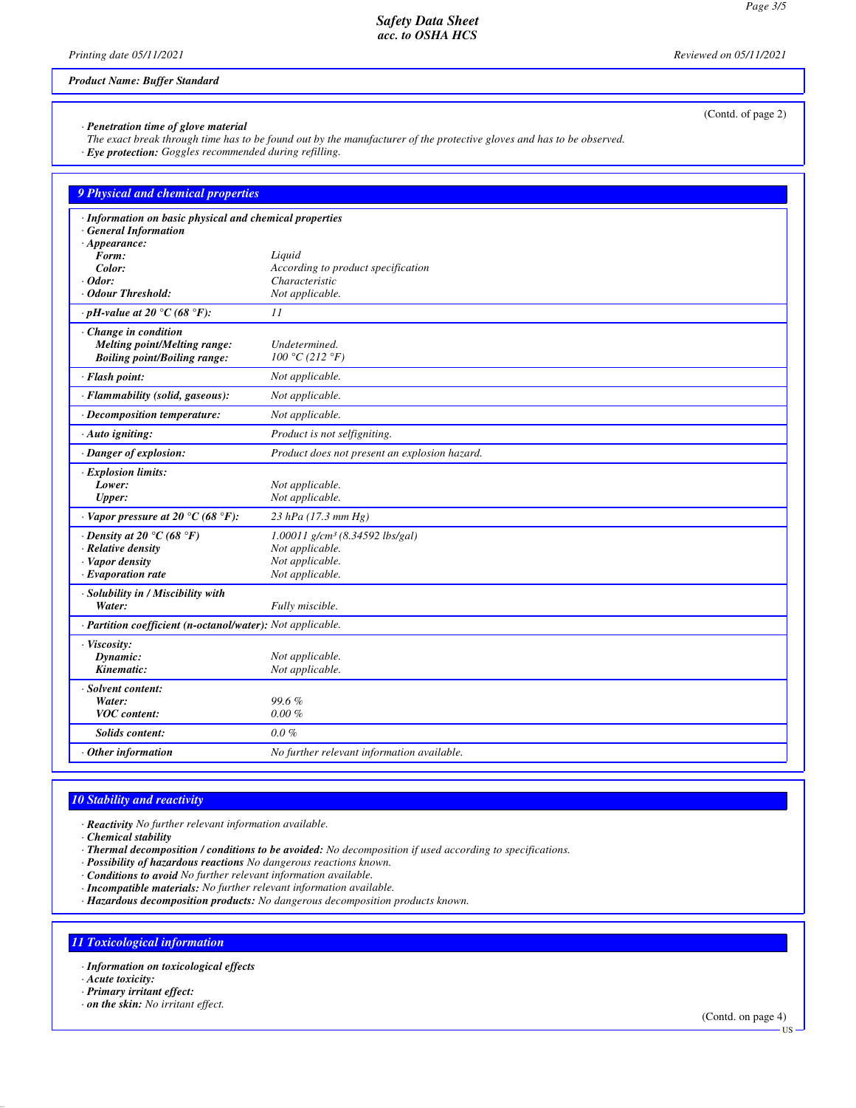*Safety Data Sheet acc. to OSHA HCS*

*Printing date 05/11/2021 Reviewed on 05/11/2021*

*Product Name: Buffer Standard*

|                                                                          | (Contd. of page 2)                                                                                                    |
|--------------------------------------------------------------------------|-----------------------------------------------------------------------------------------------------------------------|
| · Penetration time of glove material                                     | The exact break through time has to be found out by the manufacturer of the protective gloves and has to be observed. |
| · Eye protection: Goggles recommended during refilling.                  |                                                                                                                       |
|                                                                          |                                                                                                                       |
| 9 Physical and chemical properties                                       |                                                                                                                       |
| · Information on basic physical and chemical properties                  |                                                                                                                       |
| <b>General Information</b><br>$\cdot$ Appearance:                        |                                                                                                                       |
| Form:                                                                    | Liquid                                                                                                                |
| Color:                                                                   | According to product specification                                                                                    |
| $\cdot$ Odor:<br>· Odour Threshold:                                      | Characteristic<br>Not applicable.                                                                                     |
| $\cdot$ pH-value at 20 °C (68 °F):                                       | 11                                                                                                                    |
| $\cdot$ Change in condition                                              |                                                                                                                       |
| <b>Melting point/Melting range:</b>                                      | Undetermined.                                                                                                         |
| <b>Boiling point/Boiling range:</b>                                      | 100 °C (212 °F)                                                                                                       |
| · Flash point:                                                           | Not applicable.                                                                                                       |
| · Flammability (solid, gaseous):                                         | Not applicable.                                                                                                       |
| · Decomposition temperature:                                             | Not applicable.                                                                                                       |
| $\cdot$ Auto igniting:                                                   | Product is not selfigniting.                                                                                          |
| · Danger of explosion:                                                   | Product does not present an explosion hazard.                                                                         |
| <b>Explosion limits:</b>                                                 |                                                                                                                       |
| Lower:<br>Upper:                                                         | Not applicable.<br>Not applicable.                                                                                    |
|                                                                          |                                                                                                                       |
| $\cdot$ Vapor pressure at 20 °C (68 °F):                                 | $23$ hPa (17.3 mm Hg)                                                                                                 |
| $\cdot$ Density at 20 $\degree$ C (68 $\degree$ F)<br>· Relative density | 1.00011 g/cm <sup>3</sup> (8.34592 lbs/gal)<br>Not applicable.                                                        |
| · Vapor density                                                          | Not applicable.                                                                                                       |
| $\cdot$ Evaporation rate                                                 | Not applicable.                                                                                                       |
| · Solubility in / Miscibility with                                       |                                                                                                                       |
| Water:                                                                   | Fully miscible.                                                                                                       |
| · Partition coefficient (n-octanol/water): Not applicable.               |                                                                                                                       |
| · Viscosity:<br>Dynamic:                                                 | Not applicable.                                                                                                       |
| Kinematic:                                                               | Not applicable.                                                                                                       |
| · Solvent content:                                                       |                                                                                                                       |
| Water:                                                                   | 99.6%                                                                                                                 |
| <b>VOC</b> content:                                                      | $0.00 \%$                                                                                                             |
| <b>Solids content:</b>                                                   | $0.0 \%$                                                                                                              |
| Other information                                                        | No further relevant information available.                                                                            |

## *10 Stability and reactivity*

*· Reactivity No further relevant information available.*

*· Chemical stability*

*· Thermal decomposition / conditions to be avoided: No decomposition if used according to specifications.*

*· Possibility of hazardous reactions No dangerous reactions known.*

*· Conditions to avoid No further relevant information available.*

*· Incompatible materials: No further relevant information available.*

*· Hazardous decomposition products: No dangerous decomposition products known.*

## *11 Toxicological information*

*· Information on toxicological effects*

*· Acute toxicity:*

*· Primary irritant effect:*

*· on the skin: No irritant effect.*

(Contd. on page 4) US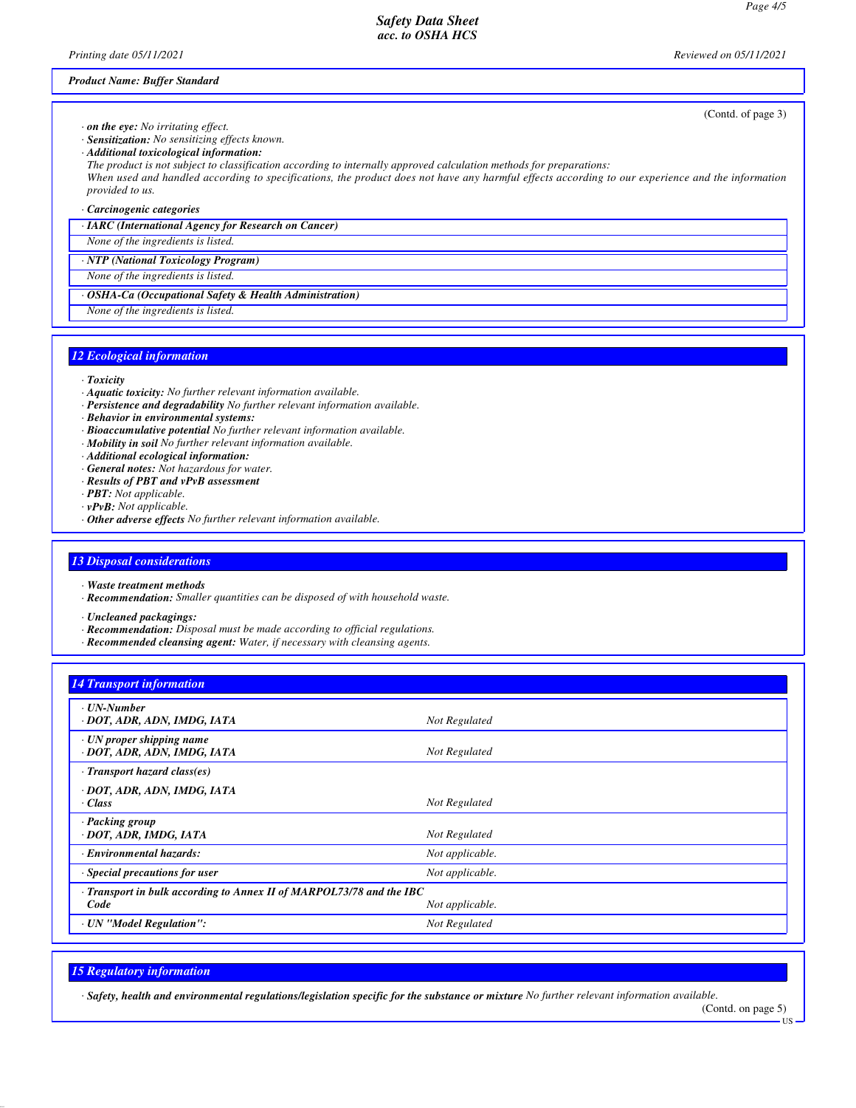*Safety Data Sheet acc. to OSHA HCS*

*Printing date 05/11/2021 Reviewed on 05/11/2021*

(Contd. of page 3)

*Product Name: Buffer Standard*

*· on the eye: No irritating effect.*

*· Sensitization: No sensitizing effects known.*

*· Additional toxicological information:*

*The product is not subject to classification according to internally approved calculation methods for preparations:*

*When used and handled according to specifications, the product does not have any harmful effects according to our experience and the information provided to us.*

*· Carcinogenic categories*

*· IARC (International Agency for Research on Cancer)*

*None of the ingredients is listed.*

*· NTP (National Toxicology Program)*

*None of the ingredients is listed.*

*· OSHA-Ca (Occupational Safety & Health Administration)*

*None of the ingredients is listed.*

## *12 Ecological information*

- *· Toxicity*
- *· Aquatic toxicity: No further relevant information available.*
- *· Persistence and degradability No further relevant information available.*
- *· Behavior in environmental systems:*
- *· Bioaccumulative potential No further relevant information available.*
- *· Mobility in soil No further relevant information available.*
- *· Additional ecological information:*
- *· General notes: Not hazardous for water.*
- *· Results of PBT and vPvB assessment*
- *· PBT: Not applicable.*
- *· vPvB: Not applicable.*
- *· Other adverse effects No further relevant information available.*

## *13 Disposal considerations*

- *· Waste treatment methods*
- *· Recommendation: Smaller quantities can be disposed of with household waste.*

*· Uncleaned packagings:*

- *· Recommendation: Disposal must be made according to official regulations.*
- *· Recommended cleansing agent: Water, if necessary with cleansing agents.*

## *14 Transport information*

| · UN-Number<br>· DOT, ADR, ADN, IMDG, IATA                                   | Not Regulated   |
|------------------------------------------------------------------------------|-----------------|
| $\cdot$ UN proper shipping name<br>· DOT, ADR, ADN, IMDG, IATA               | Not Regulated   |
| $\cdot$ Transport hazard class(es)                                           |                 |
| · DOT, ADR, ADN, IMDG, IATA<br>$\cdot$ Class                                 | Not Regulated   |
| · Packing group<br>· DOT, ADR, IMDG, IATA                                    | Not Regulated   |
| <b>Environmental hazards:</b>                                                | Not applicable. |
| Special precautions for user                                                 | Not applicable. |
| · Transport in bulk according to Annex II of MARPOL73/78 and the IBC<br>Code | Not applicable. |
| · UN "Model Regulation":                                                     | Not Regulated   |
|                                                                              |                 |

## *15 Regulatory information*

*· Safety, health and environmental regulations/legislation specific for the substance or mixture No further relevant information available.*

(Contd. on page 5)

US